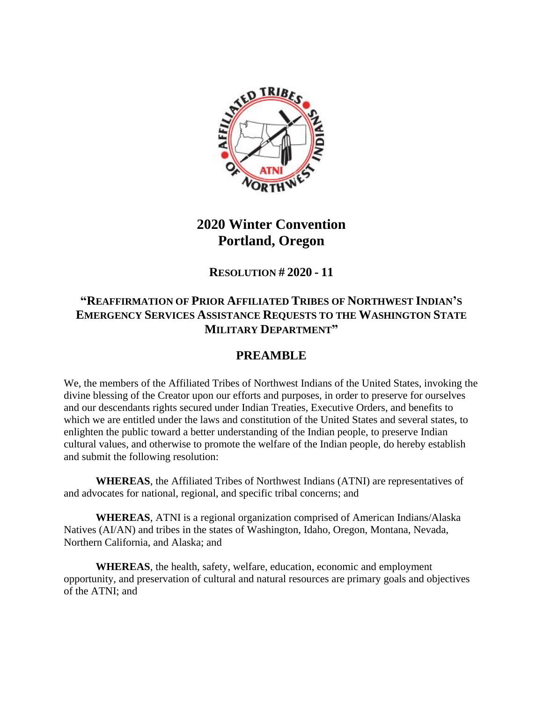

## **2020 Winter Convention Portland, Oregon**

**RESOLUTION # 2020 - 11**

## **"REAFFIRMATION OF PRIOR AFFILIATED TRIBES OF NORTHWEST INDIAN'S EMERGENCY SERVICES ASSISTANCE REQUESTS TO THE WASHINGTON STATE MILITARY DEPARTMENT"**

## **PREAMBLE**

We, the members of the Affiliated Tribes of Northwest Indians of the United States, invoking the divine blessing of the Creator upon our efforts and purposes, in order to preserve for ourselves and our descendants rights secured under Indian Treaties, Executive Orders, and benefits to which we are entitled under the laws and constitution of the United States and several states, to enlighten the public toward a better understanding of the Indian people, to preserve Indian cultural values, and otherwise to promote the welfare of the Indian people, do hereby establish and submit the following resolution:

**WHEREAS**, the Affiliated Tribes of Northwest Indians (ATNI) are representatives of and advocates for national, regional, and specific tribal concerns; and

**WHEREAS**, ATNI is a regional organization comprised of American Indians/Alaska Natives (AI/AN) and tribes in the states of Washington, Idaho, Oregon, Montana, Nevada, Northern California, and Alaska; and

**WHEREAS**, the health, safety, welfare, education, economic and employment opportunity, and preservation of cultural and natural resources are primary goals and objectives of the ATNI; and